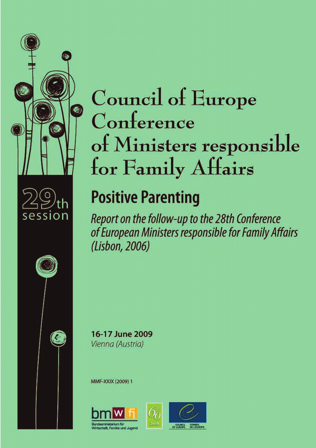



Ø



# **Positive Parenting**

Report on the follow-up to the 28th Conference of European Ministers responsible for Family Affairs (Lisbon, 2006)



MMF-XXIX (2009) 1



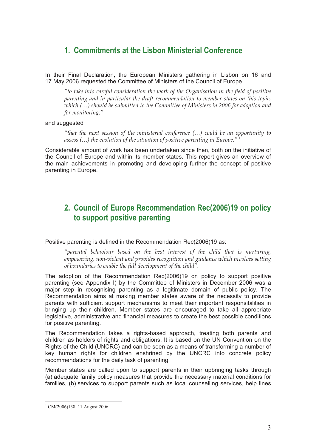## **1. Commitments at the Lisbon Ministerial Conference**

In their Final Declaration, the European Ministers gathering in Lisbon on 16 and 17 May 2006 requested the Committee of Ministers of the Council of Europe

*"to take into careful consideration the work of the Organisation in the field of positive parenting and in particular the draft recommendation to member states on this topic, which (…) should be submitted to the Committee of Ministers in 2006 for adoption and for monitoring;"*

#### and suggested

*"that the next session of the ministerial conference (…) could be an opportunity to assess (…) the evolution of the situation of positive parenting in Europe."* 1

Considerable amount of work has been undertaken since then, both on the initiative of the Council of Europe and within its member states. This report gives an overview of the main achievements in promoting and developing further the concept of positive parenting in Europe.

## **2. Council of Europe Recommendation Rec(2006)19 on policy to support positive parenting**

Positive parenting is defined in the Recommendation Rec(2006)19 as:

*"parental behaviour based on the best interest of the child that is nurturing, empowering, non-violent and provides recognition and guidance which involves setting of boundaries to enable the full development of the child".*

The adoption of the Recommendation Rec(2006)19 on policy to support positive parenting (see Appendix I) by the Committee of Ministers in December 2006 was a major step in recognising parenting as a legitimate domain of public policy. The Recommendation aims at making member states aware of the necessity to provide parents with sufficient support mechanisms to meet their important responsibilities in bringing up their children. Member states are encouraged to take all appropriate legislative, administrative and financial measures to create the best possible conditions for positive parenting.

The Recommendation takes a rights-based approach, treating both parents and children as holders of rights and obligations. It is based on the UN Convention on the Rights of the Child (UNCRC) and can be seen as a means of transforming a number of key human rights for children enshrined by the UNCRC into concrete policy recommendations for the daily task of parenting.

Member states are called upon to support parents in their upbringing tasks through (a) adequate family policy measures that provide the necessary material conditions for families, (b) services to support parents such as local counselling services, help lines

 $1$  CM(2006)138, 11 August 2006.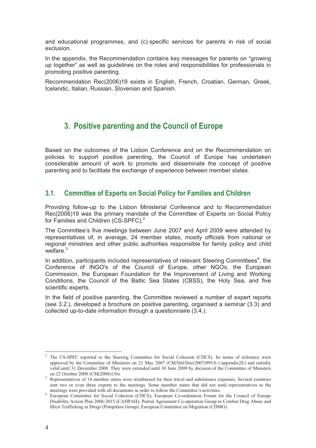and educational programmes, and (c) specific services for parents in risk of social exclusion.

In the appendix, the Recommendation contains key messages for parents on "growing up together" as well as guidelines on the roles and responsibilities for professionals in promoting positive parenting.

Recommendation Rec(2006)19 exists in English, French, Croatian, German, Greek, Icelandic, Italian, Russian, Slovenian and Spanish.

## **3. Positive parenting and the Council of Europe**

Based on the outcomes of the Lisbon Conference and on the Recommendation on policies to support positive parenting, the Council of Europe has undertaken considerable amount of work to promote and disseminate the concept of positive parenting and to facilitate the exchange of experience between member states.

## **3.1. Committee of Experts on Social Policy for Families and Children**

Providing follow-up to the Lisbon Ministerial Conference and to Recommendation Rec(2006)19 was the primary mandate of the Committee of Experts on Social Policy for Families and Children (CS-SPFC).<sup>2</sup>

The Committee's five meetings between June 2007 and April 2009 were attended by representatives of, in average, 24 member states, mostly officials from national or regional ministries and other public authorities responsible for family policy and child welfare.<sup>3</sup>

In addition, participants included representatives of relevant Steering Committees<sup>4</sup>, the monare.<br>In addition, participants included representatives of relevant Steering Committees<sup>4</sup>, the<br>Conference of INGO's of the Council of Europe, other NGOs, the European Commission, the European Foundation for the Improvement of Living and Working Conditions, the Council of the Baltic Sea States (CBSS), the Holy Sea, and five scientific experts.

In the field of positive parenting, the Committee reviewed a number of expert reports (see 3.2.), developed a brochure on positive parenting, organised a seminar (3.3) and collected up-to-date information through a questionnaire (3.4.).

<sup>&</sup>lt;sup>2</sup> The CS-SPFC reported to the Steering Committee for Social Cohesion (CDCS). Its terms of reference were approved by the Committee of Ministers on 21 May 2007 (CM/Del/Dec(2007)995/6.1/appendix2E) and initially valid until 31 December 2008. They were extended until 30 June 2009 by decision of the Committee of Ministers

<sup>&</sup>lt;sup>3</sup> Representatives of 14 member states were reimbursed for their travel and subsistence expenses. Several countries sent two or even three experts to the meetings. Some member states that did not send representatives to the meetings were provided with all documents in order to follow the Committee's activities.

<sup>&</sup>lt;sup>4</sup> European Committee for Social Cohesion (CDCS); European Co-ordination Forum for the Council of Europe Disability Action Plan 2006-2015 (CAHPAH); Partial Agreement Co-operation Group to Combat Drug Abuse and Illicit Trafficking in Drugs (Pompidou Group); European Committee on Migration (CDMG).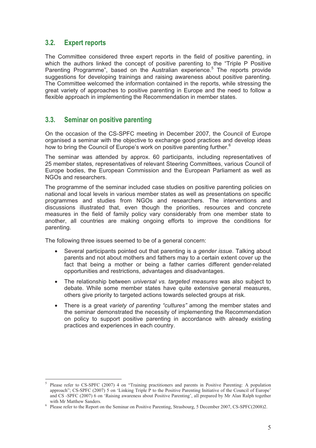## **3.2. Expert reports**

The Committee considered three expert reports in the field of positive parenting, in which the authors linked the concept of positive parenting to the "Triple P Positive Parenting Programme", based on the Australian experience.<sup>5</sup> The reports provide suggestions for developing trainings and raising awareness about positive parenting. The Committee welcomed the information contained in the reports, while stressing the great variety of approaches to positive parenting in Europe and the need to follow a flexible approach in implementing the Recommendation in member states.

### **3.3. Seminar on positive parenting**

On the occasion of the CS-SPFC meeting in December 2007, the Council of Europe organised a seminar with the objective to exchange good practices and develop ideas how to bring the Council of Europe's work on positive parenting further.<sup>6</sup>

The seminar was attended by approx. 60 participants, including representatives of 25 member states*,* representatives of relevant Steering Committees, various Council of Europe bodies, the European Commission and the European Parliament as well as NGOs and researchers.

The programme of the seminar included case studies on positive parenting policies on national and local levels in various member states as well as presentations on specific programmes and studies from NGOs and researchers. The interventions and discussions illustrated that, even though the priorities, resources and concrete measures in the field of family policy vary considerably from one member state to another, all countries are making ongoing efforts to improve the conditions for parenting.

The following three issues seemed to be of a general concern:

- Several participants pointed out that parenting is a *gender issue*. Talking about parents and not about mothers and fathers may to a certain extent cover up the fact that being a mother or being a father carries different gender-related opportunities and restrictions, advantages and disadvantages.
- The relationship between *universal vs. targeted measures* was also subject to debate. While some member states have quite extensive general measures, others give priority to targeted actions towards selected groups at risk.
- There is a great *variety of parenting "cultures"* among the member states and the seminar demonstrated the necessity of implementing the Recommendation on policy to support positive parenting in accordance with already existing practices and experiences in each country.

<sup>5</sup> Please refer to CS-SPFC (2007) 4 on "Training practitioners and parents in Positive Parenting: A population approach"; CS-SPFC (2007) 5 on 'Linking Triple P to the Positive Parenting Initiative of the Council of Europe' and CS -SPFC (2007) 6 on 'Raising awareness about Positive Parenting', all prepared by Mr Alan Ralph together with Mr Matthew Sanders.

<sup>&</sup>lt;sup>6</sup> Please refer to the Report on the Seminar on Positive Parenting, Strasbourg, 5 December 2007, CS-SPFC(2008)2.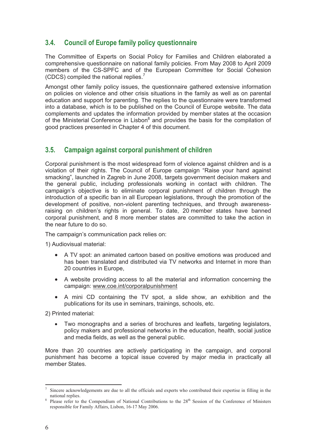## **3.4. Council of Europe family policy questionnaire**

The Committee of Experts on Social Policy for Families and Children elaborated a comprehensive questionnaire on national family policies. From May 2008 to April 2009 members of the CS-SPFC and of the European Committee for Social Cohesion (CDCS) compiled the national replies.<sup>7</sup>

Amongst other family policy issues, the questionnaire gathered extensive information on policies on violence and other crisis situations in the family as well as on parental education and support for parenting. The replies to the questionnaire were transformed into a database, which is to be published on the Council of Europe website. The data complements and updates the information provided by member states at the occasion of the Ministerial Conference in Lisbon<sup>8</sup> and provides the basis for the compilation of good practices presented in Chapter 4 of this document.

### **3.5. Campaign against corporal punishment of children**

Corporal punishment is the most widespread form of violence against children and is a violation of their rights. The Council of Europe campaign "Raise your hand against smacking", launched in Zagreb in June 2008, targets government decision makers and the general public, including professionals working in contact with children. The campaign's objective is to eliminate corporal punishment of children through the introduction of a specific ban in all European legislations, through the promotion of the development of positive, non-violent parenting techniques, and through awarenessraising on children's rights in general. To date, 20 member states have banned corporal punishment, and 8 more member states are committed to take the action in the near future to do so.

The campaign's communication pack relies on:

1) Audiovisual material:

- A TV spot: an animated cartoon based on positive emotions was produced and has been translated and distributed via TV networks and Internet in more than 20 countries in Europe,
- A website providing access to all the material and information concerning the campaign: www.coe.int/corporalpunishment
- A mini CD containing the TV spot, a slide show, an exhibition and the publications for its use in seminars, trainings, schools, etc.

2) Printed material:

• Two monographs and a series of brochures and leaflets, targeting legislators, policy makers and professional networks in the education, health, social justice and media fields, as well as the general public.

More than 20 countries are actively participating in the campaign, and corporal punishment has become a topical issue covered by major media in practically all member States.

<sup>7</sup> Sincere acknowledgements are due to all the officials and experts who contributed their expertise in filling in the national replies. <sup>8</sup>

Please refer to the Compendium of National Contributions to the 28<sup>th</sup> Session of the Conference of Ministers responsible for Family Affairs, Lisbon, 16-17 May 2006.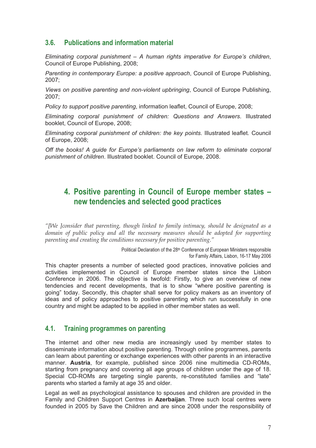## **3.6. Publications and information material**

*Eliminating corporal punishment – A human rights imperative for Europe's children*, Council of Europe Publishing, 2008;

*Parenting in contemporary Europe: a positive approach*, Council of Europe Publishing, 2007;

*Views on positive parenting and non-violent upbringing*, Council of Europe Publishing, 2007;

*Policy to support positive parenting*, information leaflet, Council of Europe, 2008;

*Eliminating corporal punishment of children: Questions and Answers*. Illustrated booklet, Council of Europe, 2008;

*Eliminating corporal punishment of children: the key points*. Illustrated leaflet. Council of Europe, 2008;

*Off the books! A guide for Europe's parliaments on law reform to eliminate corporal punishment of children*. Illustrated booklet. Council of Europe, 2008.

## **4. Positive parenting in Council of Europe member states – new tendencies and selected good practices**

*"[We ]consider that parenting, though linked to family intimacy, should be designated as a domain of public policy and all the necessary measures should be adopted for supporting parenting and creating the conditions necessary for positive parenting."*

> Political Declaration of the 28<sup>th</sup> Conference of European Ministers responsible for Family Affairs, Lisbon, 16-17 May 2006

This chapter presents a number of selected good practices, innovative policies and activities implemented in Council of Europe member states since the Lisbon Conference in 2006. The objective is twofold: Firstly, to give an overview of new tendencies and recent developments, that is to show "where positive parenting is going" today. Secondly, this chapter shall serve for policy makers as an inventory of ideas and of policy approaches to positive parenting which run successfully in one country and might be adapted to be applied in other member states as well.

#### **4.1. Training programmes on parenting**

The internet and other new media are increasingly used by member states to disseminate information about positive parenting. Through online programmes, parents can learn about parenting or exchange experiences with other parents in an interactive manner. **Austria**, for example, published since 2006 nine multimedia CD-ROMs, starting from pregnancy and covering all age groups of children under the age of 18. Special CD-ROMs are targeting single parents, re-constituted families and "late" parents who started a family at age 35 and older.

Legal as well as psychological assistance to spouses and children are provided in the Family and Children Support Centres in **Azerbaijan**. Three such local centres were founded in 2005 by Save the Children and are since 2008 under the responsibility of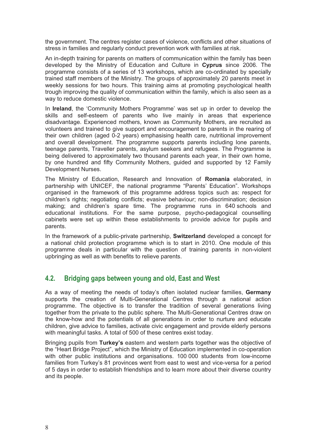the government. The centres register cases of violence, conflicts and other situations of stress in families and regularly conduct prevention work with families at risk.

An in-depth training for parents on matters of communication within the family has been developed by the Ministry of Education and Culture in **Cyprus** since 2006. The programme consists of a series of 13 workshops, which are co-ordinated by specially trained staff members of the Ministry. The groups of approximately 20 parents meet in weekly sessions for two hours. This training aims at promoting psychological health trough improving the quality of communication within the family, which is also seen as a way to reduce domestic violence.

In **Ireland**, the 'Community Mothers Programme' was set up in order to develop the skills and self-esteem of parents who live mainly in areas that experience disadvantage. Experienced mothers, known as Community Mothers, are recruited as volunteers and trained to give support and encouragement to parents in the rearing of their own children (aged 0-2 years) emphasising health care, nutritional improvement and overall development. The programme supports parents including lone parents, teenage parents, Traveller parents, asylum seekers and refugees. The Programme is being delivered to approximately two thousand parents each year, in their own home, by one hundred and fifty Community Mothers, guided and supported by 12 Family Development Nurses.

The Ministry of Education, Research and Innovation of **Romania** elaborated, in partnership with UNICEF, the national programme "Parents' Education". Workshops organised in the framework of this programme address topics such as: respect for children's rights; negotiating conflicts; evasive behaviour; non-discrimination; decision making; and children's spare time. The programme runs in 640 schools and educational institutions. For the same purpose, psycho-pedagogical counselling cabinets were set up within these establishments to provide advice for pupils and parents.

In the framework of a public-private partnership, **Switzerland** developed a concept for a national child protection programme which is to start in 2010. One module of this programme deals in particular with the question of training parents in non-violent upbringing as well as with benefits to relieve parents.

## **4.2. Bridging gaps between young and old, East and West**

As a way of meeting the needs of today's often isolated nuclear families, **Germany** supports the creation of Multi-Generational Centres through a national action programme. The objective is to transfer the tradition of several generations living together from the private to the public sphere. The Multi-Generational Centres draw on the know-how and the potentials of all generations in order to nurture and educate children, give advice to families, activate civic engagement and provide elderly persons with meaningful tasks. A total of 500 of these centres exist today.

Bringing pupils from **Turkey's** eastern and western parts together was the objective of the "Heart Bridge Project", which the Ministry of Education implemented in co-operation with other public institutions and organisations. 100 000 students from low-income families from Turkey's 81 provinces went from east to west and vice-versa for a period of 5 days in order to establish friendships and to learn more about their diverse country and its people.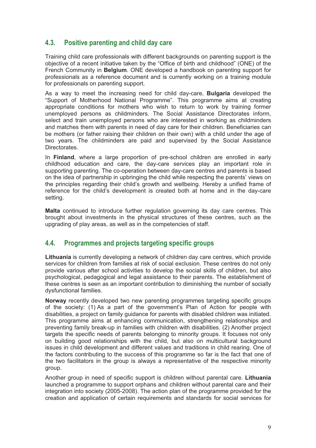## **4.3. Positive parenting and child day care**

Training child care professionals with different backgrounds on parenting support is the objective of a recent initiative taken by the "Office of birth and childhood" (ONE) of the French Community in **Belgium**. ONE developed a handbook on parenting support for professionals as a reference document and is currently working on a training module for professionals on parenting support.

As a way to meet the increasing need for child day-care, **Bulgaria** developed the "Support of Motherhood National Programme". This programme aims at creating appropriate conditions for mothers who wish to return to work by training former unemployed persons as childminders. The Social Assistance Directorates inform, select and train unemployed persons who are interested in working as childminders and matches them with parents in need of day care for their children. Beneficiaries can be mothers (or father raising their children on their own) with a child under the age of two years. The childminders are paid and supervised by the Social Assistance Directorates.

In **Finland**, where a large proportion of pre-school children are enrolled in early childhood education and care, the day-care services play an important role in supporting parenting. The co-operation between day-care centres and parents is based on the idea of partnership in upbringing the child while respecting the parents' views on the principles regarding their child's growth and wellbeing. Hereby a unified frame of reference for the child's development is created both at home and in the day-care setting.

**Malta** continued to introduce further regulation governing its day care centres. This brought about investments in the physical structures of these centres, such as the upgrading of play areas, as well as in the competencies of staff.

## **4.4. Programmes and projects targeting specific groups**

**Lithuania** is currently developing a network of children day care centres, which provide services for children from families at risk of social exclusion. These centres do not only provide various after school activities to develop the social skills of children, but also psychological, pedagogical and legal assistance to their parents. The establishment of these centres is seen as an important contribution to diminishing the number of socially dysfunctional families.

**Norway** recently developed two new parenting programmes targeting specific groups of the society: (1) As a part of the government's Plan of Action for people with disabilities, a project on family guidance for parents with disabled children was initiated. This programme aims at enhancing communication, strengthening relationships and preventing family break-up in families with children with disabilities. (2) Another project targets the specific needs of parents belonging to minority groups. It focuses not only on building good relationships with the child, but also on multicultural background issues in child development and different values and traditions in child rearing. One of the factors contributing to the success of this programme so far is the fact that one of the two facilitators in the group is always a representative of the respective minority group.

Another group in need of specific support is children without parental care. **Lithuania** launched a programme to support orphans and children without parental care and their integration into society (2005-2008). The action plan of the programme provided for the creation and application of certain requirements and standards for social services for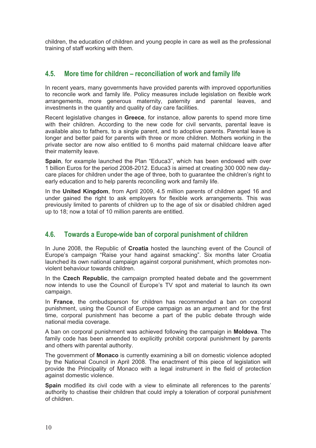children, the education of children and young people in care as well as the professional training of staff working with them.

### **4.5. More time for children – reconciliation of work and family life**

In recent years, many governments have provided parents with improved opportunities to reconcile work and family life. Policy measures include legislation on flexible work arrangements, more generous maternity, paternity and parental leaves, and investments in the quantity and quality of day care facilities.

Recent legislative changes in **Greece**, for instance, allow parents to spend more time with their children. According to the new code for civil servants, parental leave is available also to fathers, to a single parent, and to adoptive parents. Parental leave is longer and better paid for parents with three or more children. Mothers working in the private sector are now also entitled to 6 months paid maternal childcare leave after their maternity leave.

**Spain**, for example launched the Plan "Educa3", which has been endowed with over 1 billion Euros for the period 2008-2012. Educa3 is aimed at creating 300 000 new day care places for children under the age of three, both to guarantee the children's right to early education and to help parents reconciling work and family life.

In the **United Kingdom**, from April 2009, 4.5 million parents of children aged 16 and under gained the right to ask employers for flexible work arrangements. This was previously limited to parents of children up to the age of six or disabled children aged up to 18; now a total of 10 million parents are entitled.

## **4.6. Towards a Europe-wide ban of corporal punishment of children**

In June 2008, the Republic of **Croatia** hosted the launching event of the Council of Europe's campaign "Raise your hand against smacking". Six months later Croatia launched its own national campaign against corporal punishment, which promotes non violent behaviour towards children.

In the **Czech Republic**, the campaign prompted heated debate and the government now intends to use the Council of Europe's TV spot and material to launch its own campaign.

In **France**, the ombudsperson for children has recommended a ban on corporal punishment, using the Council of Europe campaign as an argument and for the first time, corporal punishment has become a part of the public debate through wide national media coverage.

A ban on corporal punishment was achieved following the campaign in **Moldova**. The family code has been amended to explicitly prohibit corporal punishment by parents and others with parental authority.

The government of **Monaco** is currently examining a bill on domestic violence adopted by the National Council in April 2008. The enactment of this piece of legislation will provide the Principality of Monaco with a legal instrument in the field of protection against domestic violence.

**Spain** modified its civil code with a view to eliminate all references to the parents' authority to chastise their children that could imply a toleration of corporal punishment of children.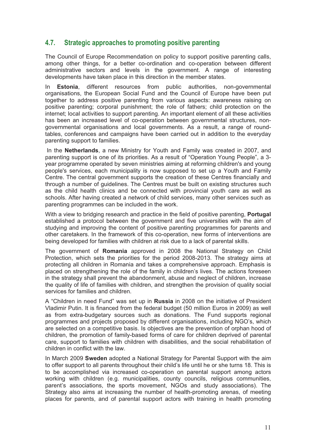## **4.7. Strategic approaches to promoting positive parenting**

The Council of Europe Recommendation on policy to support positive parenting calls, among other things, for a better co-ordination and co-operation between different administrative sectors and levels in the government. A range of interesting developments have taken place in this direction in the member states.

In **Estonia**, different resources from public authorities, non-governmental organisations, the European Social Fund and the Council of Europe have been put together to address positive parenting from various aspects: awareness raising on positive parenting; corporal punishment; the role of fathers; child protection on the internet; local activities to support parenting. An important element of all these activities has been an increased level of co-operation between governmental structures, non governmental organisations and local governments. As a result, a range of round tables, conferences and campaigns have been carried out in addition to the everyday parenting support to families.

In the **Netherlands**, a new Ministry for Youth and Family was created in 2007, and parenting support is one of its priorities. As a result of "Operation Young People", a 3- In the **Netherlands**, a new Ministry for Youth and Family was created in 2007, and<br>parenting support is one of its priorities. As a result of "Operation Young People", a 3-<br>year programme operated by seven ministries aimin parenting support is one of its priorities. As a result of "Operation Young People", a 3-<br>year programme operated by seven ministries aiming at reforming children's and young<br>people's services, each municipality is now sup Centre. The central government supports the creation of these Centres financially and through a number of guidelines. The Centres must be built on existing structures such as the child health clinics and be connected with provincial youth care as well as schools. After having created a network of child services, many other services such as parenting programmes can be included in the work.

With a view to bridging research and practice in the field of positive parenting, **Portugal** established a protocol between the government and five universities with the aim of studying and improving the content of positive parenting programmes for parents and other caretakers. In the framework of this co-operation, new forms of interventions are being developed for families with children at risk due to a lack of parental skills.

The government of **Romania** approved in 2008 the National Strategy on Child Protection, which sets the priorities for the period 2008-2013. The strategy aims at protecting all children in Romania and takes a comprehensive approach. Emphasis is placed on strengthening the role of the family in children's lives. The actions foreseen in the strategy shall prevent the abandonment, abuse and neglect of children, increase the quality of life of families with children, and strengthen the provision of quality social services for families and children.

A "Children in need Fund" was set up in **Russia** in 2008 on the initiative of President Vladimir Putin. It is financed from the federal budget (50 million Euros in 2009) as well as from extra-budgetary sources such as donations. The Fund supports regional programmes and projects proposed by different organisations, including NGO's, which are selected on a competitive basis. Is objectives are the prevention of orphan hood of children, the promotion of family-based forms of care for children deprived of parental care, support to families with children with disabilities, and the social rehabilitation of children in conflict with the law.

In March 2009 **Sweden** adopted a National Strategy for Parental Support with the aim to offer support to all parents throughout their child's life until he or she turns 18. This is to be accomplished via increased co-operation on parental support among actors working with children (e.g. municipalities, county councils, religious communities, parent's associations, the sports movement, NGOs and study associations). The Strategy also aims at increasing the number of health-promoting arenas, of meeting places for parents, and of parental support actors with training in health promoting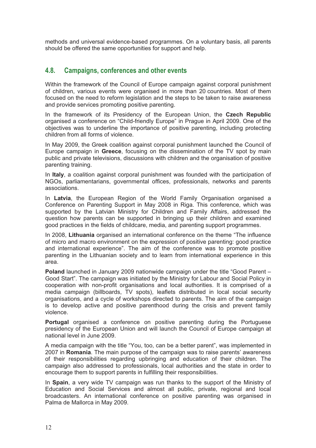methods and universal evidence-based programmes. On a voluntary basis, all parents should be offered the same opportunities for support and help.

#### **4.8. Campaigns, conferences and other events**

Within the framework of the Council of Europe campaign against corporal punishment of children, various events were organised in more than 20 countries. Most of them focused on the need to reform legislation and the steps to be taken to raise awareness and provide services promoting positive parenting.

In the framework of its Presidency of the European Union, the **Czech Republic** organised a conference on "Child-friendly Europe" in Prague in April 2009. One of the objectives was to underline the importance of positive parenting, including protecting children from all forms of violence.

In May 2009, the Greek coalition against corporal punishment launched the Council of Europe campaign in **Greece**, focusing on the dissemination of the TV spot by main public and private televisions, discussions with children and the organisation of positive parenting training.

In **Italy**, a coalition against corporal punishment was founded with the participation of NGOs, parliamentarians, governmental offices, professionals, networks and parents associations.

In **Latvia**, the European Region of the World Family Organisation organised a Conference on Parenting Support in May 2008 in Riga. This conference, which was supported by the Latvian Ministry for Children and Family Affairs, addressed the question how parents can be supported in bringing up their children and examined good practices in the fields of childcare, media, and parenting support programmes.

In 2008, **Lithuania** organised an international conference on the theme "The influence of micro and macro environment on the expression of positive parenting: good practice and international experience". The aim of the conference was to promote positive parenting in the Lithuanian society and to learn from international experience in this area.

**Poland** launched in January 2009 nationwide campaign under the title "Good Parent – Good Start". The campaign was initiated by the Ministry for Labour and Social Policy in cooperation with non-profit organisations and local authorities. It is comprised of a media campaign (billboards, TV spots), leaflets distributed in local social security organisations, and a cycle of workshops directed to parents. The aim of the campaign is to develop active and positive parenthood during the crisis and prevent family violence.

**Portugal** organised a conference on positive parenting during the Portuguese presidency of the European Union and will launch the Council of Europe campaign at national level in June 2009.

A media campaign with the title "You, too, can be a better parent", was implemented in 2007 in **Romania**. The main purpose of the campaign was to raise parents' awareness of their responsibilities regarding upbringing and education of their children. The campaign also addressed to professionals, local authorities and the state in order to encourage them to support parents in fulfilling their responsibilities.

In **Spain**, a very wide TV campaign was run thanks to the support of the Ministry of Education and Social Services and almost all public, private, regional and local broadcasters. An international conference on positive parenting was organised in Palma de Mallorca in May 2009.